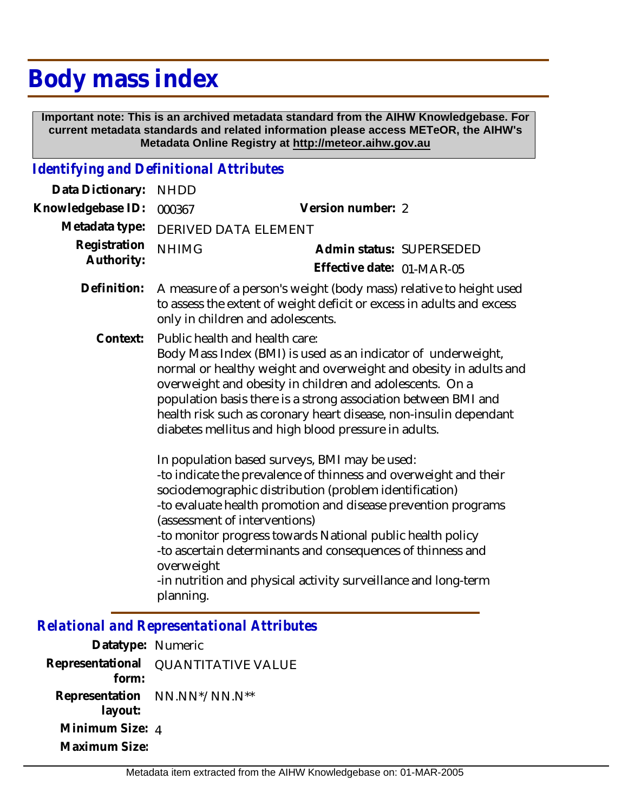## **Body mass index**

 **Important note: This is an archived metadata standard from the AIHW Knowledgebase. For current metadata standards and related information please access METeOR, the AIHW's Metadata Online Registry at http://meteor.aihw.gov.au**

## *Identifying and Definitional Attributes*

| Data Dictionary:           | <b>NHDD</b>                                                                                                                                                                                                                                                                                                                                                                                                                                                                                                                                                                                                                                                                                                                                                                                                                                                                                                                                |                                                       |
|----------------------------|--------------------------------------------------------------------------------------------------------------------------------------------------------------------------------------------------------------------------------------------------------------------------------------------------------------------------------------------------------------------------------------------------------------------------------------------------------------------------------------------------------------------------------------------------------------------------------------------------------------------------------------------------------------------------------------------------------------------------------------------------------------------------------------------------------------------------------------------------------------------------------------------------------------------------------------------|-------------------------------------------------------|
| Knowledgebase ID:          | 000367                                                                                                                                                                                                                                                                                                                                                                                                                                                                                                                                                                                                                                                                                                                                                                                                                                                                                                                                     | Version number: 2                                     |
| Metadata type:             | <b>DERIVED DATA ELEMENT</b>                                                                                                                                                                                                                                                                                                                                                                                                                                                                                                                                                                                                                                                                                                                                                                                                                                                                                                                |                                                       |
| Registration<br>Authority: | <b>NHIMG</b>                                                                                                                                                                                                                                                                                                                                                                                                                                                                                                                                                                                                                                                                                                                                                                                                                                                                                                                               | Admin status: SUPERSEDED<br>Effective date: 01-MAR-05 |
| Definition:                | A measure of a person's weight (body mass) relative to height used<br>to assess the extent of weight deficit or excess in adults and excess<br>only in children and adolescents.                                                                                                                                                                                                                                                                                                                                                                                                                                                                                                                                                                                                                                                                                                                                                           |                                                       |
| Context:                   | Public health and health care:<br>Body Mass Index (BMI) is used as an indicator of underweight,<br>normal or healthy weight and overweight and obesity in adults and<br>overweight and obesity in children and adolescents. On a<br>population basis there is a strong association between BMI and<br>health risk such as coronary heart disease, non-insulin dependant<br>diabetes mellitus and high blood pressure in adults.<br>In population based surveys, BMI may be used:<br>-to indicate the prevalence of thinness and overweight and their<br>sociodemographic distribution (problem identification)<br>-to evaluate health promotion and disease prevention programs<br>(assessment of interventions)<br>-to monitor progress towards National public health policy<br>-to ascertain determinants and consequences of thinness and<br>overweight<br>-in nutrition and physical activity surveillance and long-term<br>planning. |                                                       |

## *Relational and Representational Attributes*

| Datatype: Numeric |                                     |
|-------------------|-------------------------------------|
| form:             | Representational QUANTITATIVE VALUE |
| layout:           | Representation NN.NN*/NN.N**        |
| Minimum Size: 4   |                                     |
| Maximum Size:     |                                     |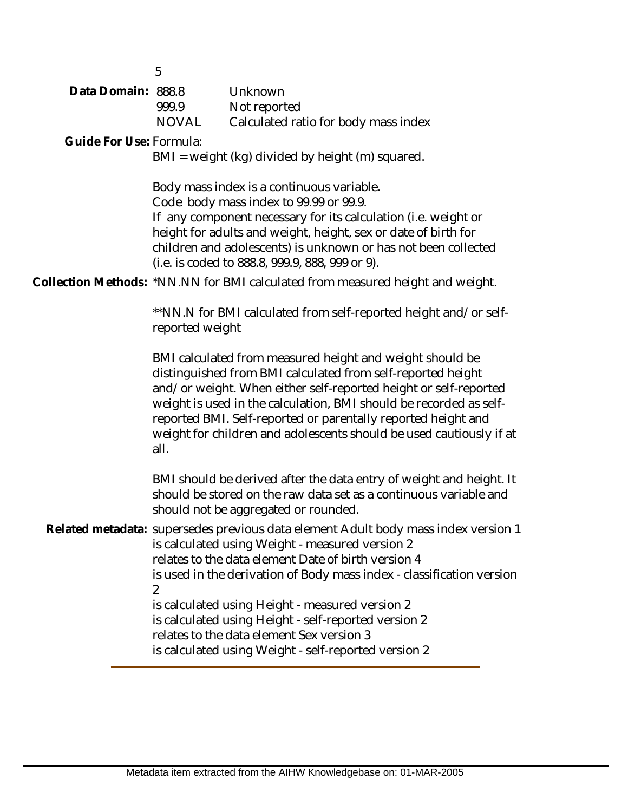888.8 **Data Domain:**999.9 NOVAL Unknown Not reported Calculated ratio for body mass index

Guide For Use: Formula:

5

BMI = weight (kg) divided by height (m) squared.

Body mass index is a continuous variable. Code body mass index to 99.99 or 99.9. If any component necessary for its calculation (i.e. weight or height for adults and weight, height, sex or date of birth for children and adolescents) is unknown or has not been collected (i.e. is coded to 888.8, 999.9, 888, 999 or 9).

Collection Methods: \*NN.NN for BMI calculated from measured height and weight.

\*\*NN.N for BMI calculated from self-reported height and/or selfreported weight

BMI calculated from measured height and weight should be distinguished from BMI calculated from self-reported height and/or weight. When either self-reported height or self-reported weight is used in the calculation, BMI should be recorded as selfreported BMI. Self-reported or parentally reported height and weight for children and adolescents should be used cautiously if at all.

BMI should be derived after the data entry of weight and height. It should be stored on the raw data set as a continuous variable and should not be aggregated or rounded.

Related metadata: supersedes previous data element Adult body mass index version 1 is calculated using Weight - measured version 2 relates to the data element Date of birth version 4 is used in the derivation of Body mass index - classification version 2 is calculated using Height - measured version 2 is calculated using Height - self-reported version 2 relates to the data element Sex version 3

is calculated using Weight - self-reported version 2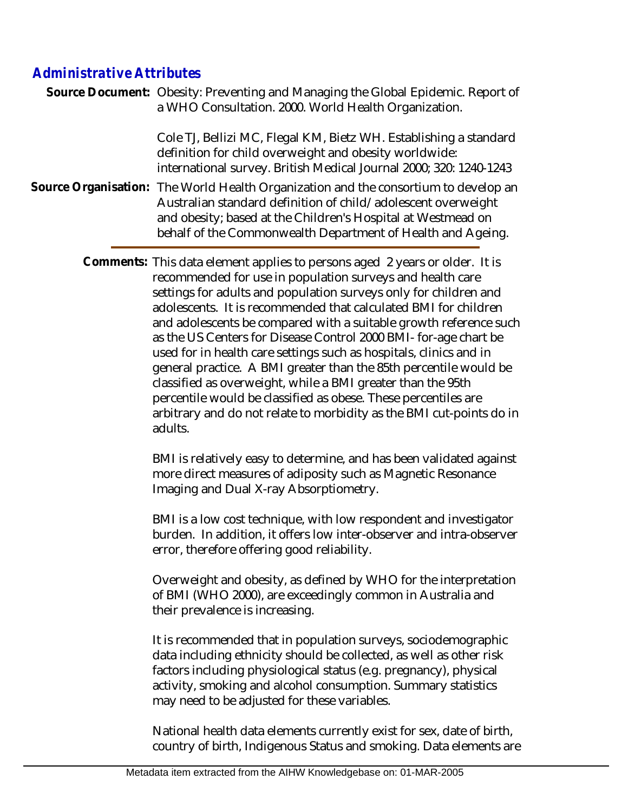## *Administrative Attributes*

Source Document: Obesity: Preventing and Managing the Global Epidemic. Report of a WHO Consultation. 2000. World Health Organization.

> Cole TJ, Bellizi MC, Flegal KM, Bietz WH. Establishing a standard definition for child overweight and obesity worldwide: international survey. British Medical Journal 2000; 320: 1240-1243

- Source Organisation: The World Health Organization and the consortium to develop an Australian standard definition of child/adolescent overweight and obesity; based at the Children's Hospital at Westmead on behalf of the Commonwealth Department of Health and Ageing.
	- Comments: This data element applies to persons aged 2 years or older. It is recommended for use in population surveys and health care settings for adults and population surveys only for children and adolescents. It is recommended that calculated BMI for children and adolescents be compared with a suitable growth reference such as the US Centers for Disease Control 2000 BMI- for-age chart be used for in health care settings such as hospitals, clinics and in general practice. A BMI greater than the 85th percentile would be classified as overweight, while a BMI greater than the 95th percentile would be classified as obese. These percentiles are arbitrary and do not relate to morbidity as the BMI cut-points do in adults.

BMI is relatively easy to determine, and has been validated against more direct measures of adiposity such as Magnetic Resonance Imaging and Dual X-ray Absorptiometry.

BMI is a low cost technique, with low respondent and investigator burden. In addition, it offers low inter-observer and intra-observer error, therefore offering good reliability.

Overweight and obesity, as defined by WHO for the interpretation of BMI (WHO 2000), are exceedingly common in Australia and their prevalence is increasing.

It is recommended that in population surveys, sociodemographic data including ethnicity should be collected, as well as other risk factors including physiological status (e.g. pregnancy), physical activity, smoking and alcohol consumption. Summary statistics may need to be adjusted for these variables.

National health data elements currently exist for sex, date of birth, country of birth, Indigenous Status and smoking. Data elements are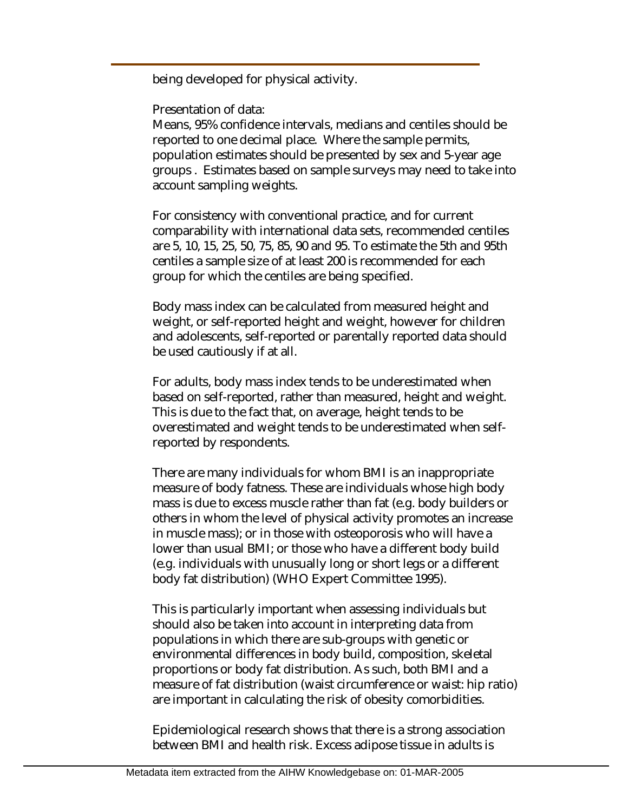being developed for physical activity.

Presentation of data:

Means, 95% confidence intervals, medians and centiles should be reported to one decimal place. Where the sample permits, population estimates should be presented by sex and 5-year age groups . Estimates based on sample surveys may need to take into account sampling weights.

For consistency with conventional practice, and for current comparability with international data sets, recommended centiles are 5, 10, 15, 25, 50, 75, 85, 90 and 95. To estimate the 5th and 95th centiles a sample size of at least 200 is recommended for each group for which the centiles are being specified.

Body mass index can be calculated from measured height and weight, or self-reported height and weight, however for children and adolescents, self-reported or parentally reported data should be used cautiously if at all.

For adults, body mass index tends to be underestimated when based on self-reported, rather than measured, height and weight. This is due to the fact that, on average, height tends to be overestimated and weight tends to be underestimated when selfreported by respondents.

There are many individuals for whom BMI is an inappropriate measure of body fatness. These are individuals whose high body mass is due to excess muscle rather than fat (e.g. body builders or others in whom the level of physical activity promotes an increase in muscle mass); or in those with osteoporosis who will have a lower than usual BMI; or those who have a different body build (e.g. individuals with unusually long or short legs or a different body fat distribution) (WHO Expert Committee 1995).

This is particularly important when assessing individuals but should also be taken into account in interpreting data from populations in which there are sub-groups with genetic or environmental differences in body build, composition, skeletal proportions or body fat distribution. As such, both BMI and a measure of fat distribution (waist circumference or waist: hip ratio) are important in calculating the risk of obesity comorbidities.

Epidemiological research shows that there is a strong association between BMI and health risk. Excess adipose tissue in adults is